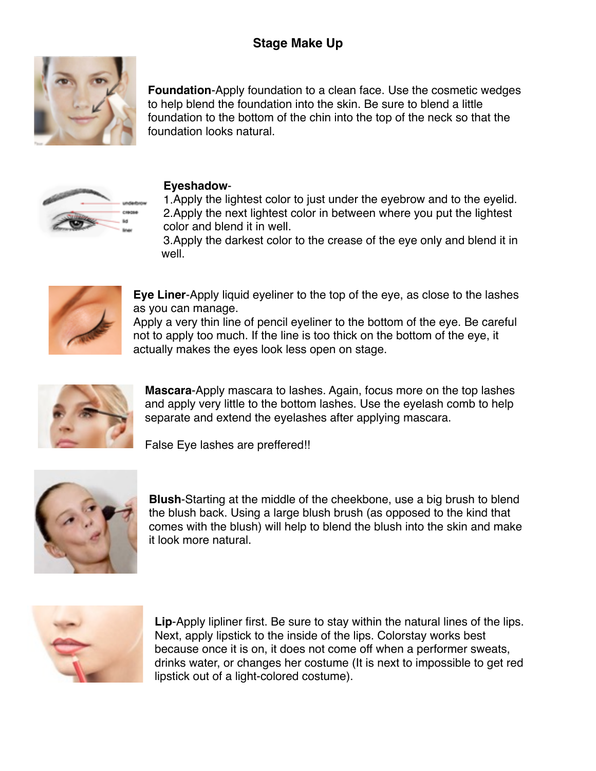# **Stage Make Up**



**Foundation**-Apply foundation to a clean face. Use the cosmetic wedges to help blend the foundation into the skin. Be sure to blend a little foundation to the bottom of the chin into the top of the neck so that the foundation looks natural.



### **Eyeshadow**-

1.Apply the lightest color to just under the eyebrow and to the eyelid. 2.Apply the next lightest color in between where you put the lightest color and blend it in well.

3.Apply the darkest color to the crease of the eye only and blend it in well.



**Eye Liner**-Apply liquid eyeliner to the top of the eye, as close to the lashes as you can manage.

Apply a very thin line of pencil eyeliner to the bottom of the eye. Be careful not to apply too much. If the line is too thick on the bottom of the eye, it actually makes the eyes look less open on stage.



**Mascara**-Apply mascara to lashes. Again, focus more on the top lashes and apply very little to the bottom lashes. Use the eyelash comb to help separate and extend the eyelashes after applying mascara.

False Eye lashes are preffered!!



**Blush**-Starting at the middle of the cheekbone, use a big brush to blend the blush back. Using a large blush brush (as opposed to the kind that comes with the blush) will help to blend the blush into the skin and make it look more natural.



**Lip**-Apply lipliner first. Be sure to stay within the natural lines of the lips. Next, apply lipstick to the inside of the lips. Colorstay works best because once it is on, it does not come off when a performer sweats, drinks water, or changes her costume (It is next to impossible to get red lipstick out of a light-colored costume).